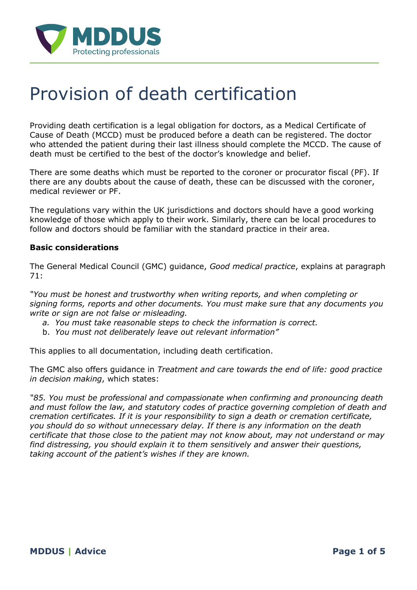

# Provision of death certification

Providing death certification is a legal obligation for doctors, as a Medical Certificate of Cause of Death (MCCD) must be produced before a death can be registered. The doctor who attended the patient during their last illness should complete the MCCD. The cause of death must be certified to the best of the doctor's knowledge and belief.

There are some deaths which must be reported to the coroner or procurator fiscal (PF). If there are any doubts about the cause of death, these can be discussed with the coroner, medical reviewer or PF.

The regulations vary within the UK jurisdictions and doctors should have a good working knowledge of those which apply to their work. Similarly, there can be local procedures to follow and doctors should be familiar with the standard practice in their area.

#### **Basic considerations**

The General Medical Council (GMC) guidance, *Good medical practice*, explains at paragraph 71:

*"You must be honest and trustworthy when writing reports, and when completing or signing forms, reports and other documents. You must make sure that any documents you write or sign are not false or misleading.*

- *a. You must take reasonable steps to check the information is correct.*
- b. *You must not deliberately leave out relevant information"*

This applies to all documentation, including death certification.

The GMC also offers guidance in *Treatment and care towards the end of life: good practice in decision making*, which states:

*"85. You must be professional and compassionate when confirming and pronouncing death and must follow the law, and statutory codes of practice governing completion of death and cremation certificates. If it is your responsibility to sign a death or cremation certificate, you should do so without unnecessary delay. If there is any information on the death certificate that those close to the patient may not know about, may not understand or may find distressing, you should explain it to them sensitively and answer their questions, taking account of the patient's wishes if they are known.*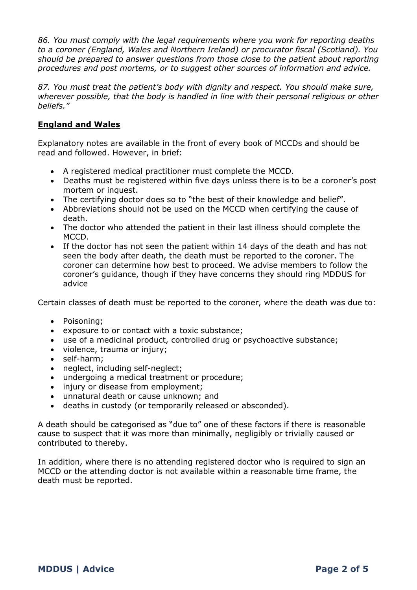*86. You must comply with the legal requirements where you work for reporting deaths to a coroner (England, Wales and Northern Ireland) or procurator fiscal (Scotland). You should be prepared to answer questions from those close to the patient about reporting procedures and post mortems, or to suggest other sources of information and advice.*

*87. You must treat the patient's body with dignity and respect. You should make sure, wherever possible, that the body is handled in line with their personal religious or other beliefs."*

## **England and Wales**

Explanatory notes are available in the front of every book of MCCDs and should be read and followed. However, in brief:

- A registered medical practitioner must complete the MCCD.
- Deaths must be registered within five days unless there is to be a coroner's post mortem or inquest.
- The certifying doctor does so to "the best of their knowledge and belief".
- Abbreviations should not be used on the MCCD when certifying the cause of death.
- The doctor who attended the patient in their last illness should complete the MCCD.
- If the doctor has not seen the patient within 14 days of the death and has not seen the body after death, the death must be reported to the coroner. The coroner can determine how best to proceed. We advise members to follow the coroner's guidance, though if they have concerns they should ring MDDUS for advice

Certain classes of death must be reported to the coroner, where the death was due to:

- Poisoning;
- exposure to or contact with a toxic substance;
- use of a medicinal product, controlled drug or psychoactive substance;
- violence, trauma or injury;
- self-harm;
- neglect, including self-neglect;
- undergoing a medical treatment or procedure;
- injury or disease from employment;
- unnatural death or cause unknown; and
- deaths in custody (or temporarily released or absconded).

A death should be categorised as "due to" one of these factors if there is reasonable cause to suspect that it was more than minimally, negligibly or trivially caused or contributed to thereby.

In addition, where there is no attending registered doctor who is required to sign an MCCD or the attending doctor is not available within a reasonable time frame, the death must be reported.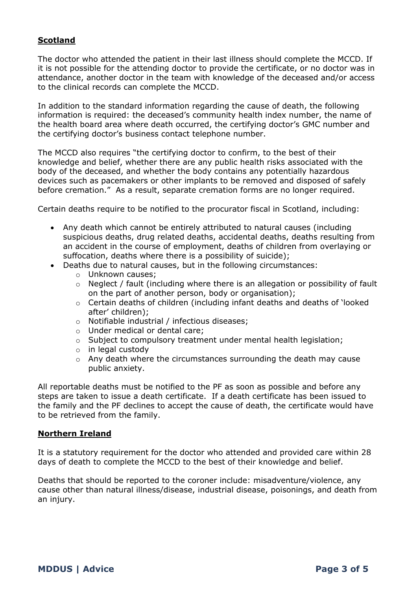## **Scotland**

The doctor who attended the patient in their last illness should complete the MCCD. If it is not possible for the attending doctor to provide the certificate, or no doctor was in attendance, another doctor in the team with knowledge of the deceased and/or access to the clinical records can complete the MCCD.

In addition to the standard information regarding the cause of death, the following information is required: the deceased's community health index number, the name of the health board area where death occurred, the certifying doctor's GMC number and the certifying doctor's business contact telephone number.

The MCCD also requires "the certifying doctor to confirm, to the best of their knowledge and belief, whether there are any public health risks associated with the body of the deceased, and whether the body contains any potentially hazardous devices such as pacemakers or other implants to be removed and disposed of safely before cremation." As a result, separate cremation forms are no longer required.

Certain deaths require to be notified to the procurator fiscal in Scotland, including:

- Any death which cannot be entirely attributed to natural causes (including suspicious deaths, drug related deaths, accidental deaths, deaths resulting from an accident in the course of employment, deaths of children from overlaying or suffocation, deaths where there is a possibility of suicide);
- Deaths due to natural causes, but in the following circumstances:
	- o Unknown causes;
	- o Neglect / fault (including where there is an allegation or possibility of fault on the part of another person, body or organisation);
	- o Certain deaths of children (including infant deaths and deaths of 'looked after' children);
	- o Notifiable industrial / infectious diseases;
	- o Under medical or dental care;
	- o Subject to compulsory treatment under mental health legislation;
	- o in legal custody
	- o Any death where the circumstances surrounding the death may cause public anxiety.

All reportable deaths must be notified to the PF as soon as possible and before any steps are taken to issue a death certificate. If a death certificate has been issued to the family and the PF declines to accept the cause of death, the certificate would have to be retrieved from the family.

#### **Northern Ireland**

It is a statutory requirement for the doctor who attended and provided care within 28 days of death to complete the MCCD to the best of their knowledge and belief.

Deaths that should be reported to the coroner include: misadventure/violence, any cause other than natural illness/disease, industrial disease, poisonings, and death from an injury.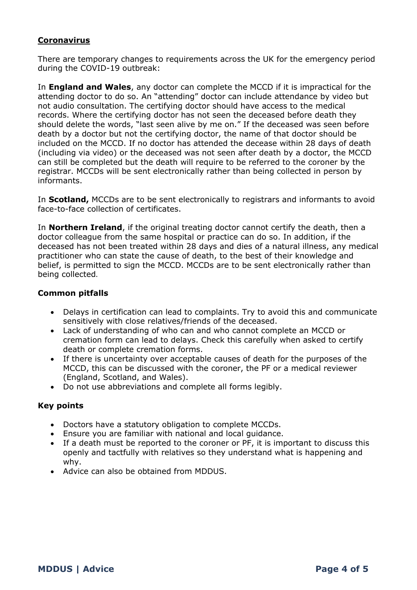## **Coronavirus**

There are temporary changes to requirements across the UK for the emergency period during the COVID-19 outbreak:

In **England and Wales**, any doctor can complete the MCCD if it is impractical for the attending doctor to do so. An "attending" doctor can include attendance by video but not audio consultation. The certifying doctor should have access to the medical records. Where the certifying doctor has not seen the deceased before death they should delete the words, "last seen alive by me on." If the deceased was seen before death by a doctor but not the certifying doctor, the name of that doctor should be included on the MCCD. If no doctor has attended the decease within 28 days of death (including via video) or the deceased was not seen after death by a doctor, the MCCD can still be completed but the death will require to be referred to the coroner by the registrar. MCCDs will be sent electronically rather than being collected in person by informants.

In **Scotland,** MCCDs are to be sent electronically to registrars and informants to avoid face-to-face collection of certificates.

In **Northern Ireland**, if the original treating doctor cannot certify the death, then a doctor colleague from the same hospital or practice can do so. In addition, if the deceased has not been treated within 28 days and dies of a natural illness, any medical practitioner who can state the cause of death, to the best of their knowledge and belief, is permitted to sign the MCCD. MCCDs are to be sent electronically rather than being collected.

## **Common pitfalls**

- Delays in certification can lead to complaints. Try to avoid this and communicate sensitively with close relatives/friends of the deceased.
- Lack of understanding of who can and who cannot complete an MCCD or cremation form can lead to delays. Check this carefully when asked to certify death or complete cremation forms.
- If there is uncertainty over acceptable causes of death for the purposes of the MCCD, this can be discussed with the coroner, the PF or a medical reviewer (England, Scotland, and Wales).
- Do not use abbreviations and complete all forms legibly.

## **Key points**

- Doctors have a statutory obligation to complete MCCDs.
- Ensure you are familiar with national and local guidance.
- If a death must be reported to the coroner or PF, it is important to discuss this openly and tactfully with relatives so they understand what is happening and why.
- Advice can also be obtained from MDDUS.